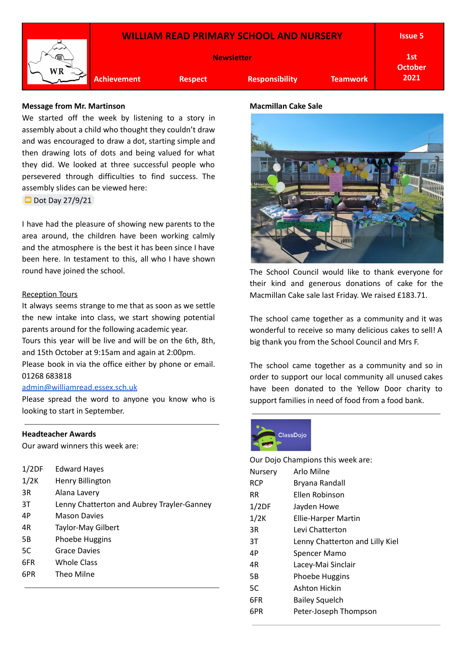

## **Message from Mr. Martinson**

We started off the week by listening to a story in assembly about a child who thought they couldn't draw and was encouraged to draw a dot, starting simple and then drawing lots of dots and being valued for what they did. We looked at three successful people who persevered through difficulties to find success. The assembly slides can be viewed here:

 $\Box$  Dot Day [27/9/21](https://docs.google.com/presentation/d/1DssCRuBGhWgmFwpLu1sa1Ipl4DZpDxL34aGuh5OoCMY/edit?usp=sharing)

I have had the pleasure of showing new parents to the area around, the children have been working calmly and the atmosphere is the best it has been since I have been here. In testament to this, all who I have shown round have joined the school.

### Reception Tours

It always seems strange to me that as soon as we settle the new intake into class, we start showing potential parents around for the following academic year. Tours this year will be live and will be on the 6th, 8th, and 15th October at 9:15am and again at 2:00pm. Please book in via the office either by phone or email. 01268 683818

## [admin@williamread.essex.sch.uk](mailto:admin@williamread.essex.sch.uk)

Please spread the word to anyone you know who is looking to start in September.

### **Headteacher Awards**

Our award winners this week are:

| 1/2DF | <b>Edward Hayes</b>                        |
|-------|--------------------------------------------|
| 1/2K  | Henry Billington                           |
| 3R    | Alana Lavery                               |
| 3Τ    | Lenny Chatterton and Aubrey Trayler-Ganney |
| 4P    | <b>Mason Davies</b>                        |
| 4R    | Taylor-May Gilbert                         |
| 5B    | Phoebe Huggins                             |
| 5C    | <b>Grace Davies</b>                        |
| 6FR   | Whole Class                                |
| 6PR   | Theo Milne                                 |
|       |                                            |

# **Macmillan Cake Sale**



The School Council would like to thank everyone for their kind and generous donations of cake for the Macmillan Cake sale last Friday. We raised £183.71.

The school came together as a community and it was wonderful to receive so many delicious cakes to sell! A big thank you from the School Council and Mrs F.

The school came together as a community and so in order to support our local community all unused cakes have been donated to the Yellow Door charity to support families in need of food from a food bank.



| Our Dojo Champions this week are: |                                 |  |  |  |
|-----------------------------------|---------------------------------|--|--|--|
| Nursery                           | Arlo Milne                      |  |  |  |
| <b>RCP</b>                        | Bryana Randall                  |  |  |  |
| RR.                               | Ellen Robinson                  |  |  |  |
| 1/2DF                             | Jayden Howe                     |  |  |  |
| 1/2K                              | <b>Ellie-Harper Martin</b>      |  |  |  |
| 3R                                | Levi Chatterton                 |  |  |  |
| 3T                                | Lenny Chatterton and Lilly Kiel |  |  |  |
| 4P                                | Spencer Mamo                    |  |  |  |
| 4R                                | Lacey-Mai Sinclair              |  |  |  |
| 5Β                                | Phoebe Huggins                  |  |  |  |
| 5C                                | Ashton Hickin                   |  |  |  |
| 6FR                               | <b>Bailey Squelch</b>           |  |  |  |
| 6PR                               | Peter-Joseph Thompson           |  |  |  |
|                                   |                                 |  |  |  |